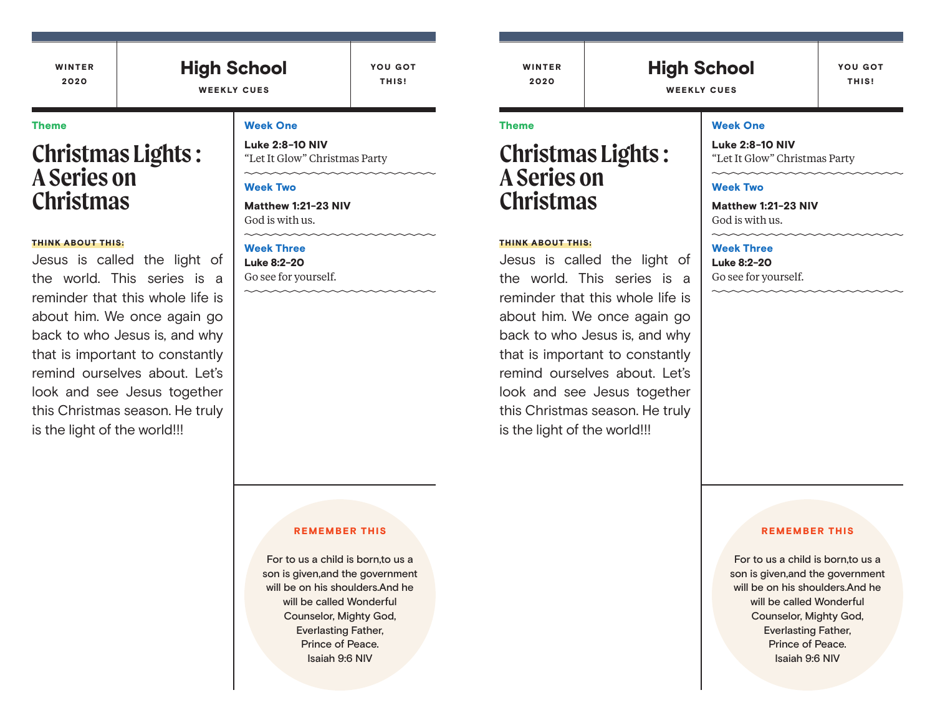## High School

YOU GOT THIS!

WEEKLY CUES

## Theme

# **Christmas Lights : A Series on Christmas**

### THINK ABOUT THIS:

Jesus is called the light of the world. This series is a reminder that this whole life is about him. We once again go back to who Jesus is, and why that is important to constantly remind ourselves about. Let's look and see Jesus together this Christmas season. He truly is the light of the world!!!

## Week One

Luke 2:8-10 NIV "Let It Glow" Christmas Party

#### Week Two

Matthew 1:21-23 NIV God is with us.

#### Week Three

Luke 8:2-20 Go see for yourself.

#### REMEMBER THIS

For to us a child is born,to us a son is given,and the government will be on his shoulders.And he will be called Wonderful Counselor, Mighty God, Everlasting Father, Prince of Peace. Isaiah 9:6 NIV